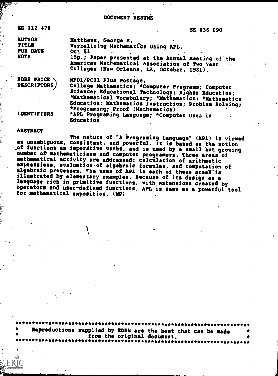**DOCUMENT RESUME** 

| ED 212 479                                                      | SE 036 090                                                                                                                                                                                                                          |  |  |  |  |
|-----------------------------------------------------------------|-------------------------------------------------------------------------------------------------------------------------------------------------------------------------------------------------------------------------------------|--|--|--|--|
| <b>AUTHOR</b><br><b>TITLE</b><br><b>PUB DATE</b><br><b>NOTE</b> | Matthews, George E.<br>Verbalizing Mathematics Using APL.<br><b>Oct 81</b><br>15p.; Paper presented at the Annual Meeting of the<br>American Mathematical Association of Two Year<br><br>Colleges (New Orleans, LA, October, 1981). |  |  |  |  |
| EDRS PRICE .<br>DESCRIPTORS /                                   | MF01/PC01 Plus Postage.<br>College Mathematics; *Computer Programs; Computer<br>Science; Educational Technology; Higher Education;<br>*Mathematical Vocabulary; *Mathematics; *Mathematics                                          |  |  |  |  |
| <b>IDENTIFIERS</b>                                              | Education; Mathematics Instruction; Problem Solving;<br>*Programing; Proof (Mathematics)<br>*APL Programing Language; *Computer Uses in<br>Education                                                                                |  |  |  |  |

### **ABSTRACT**

The nature of "A Programing Language" (APL) is viewed as unambiguous, consistent, and powerful. It is based on the notion of functions as imperative verbs, and is used by a small but growing number of mathematicians and computer programers. Three areas of mathematical activity are addressed: calculation of arithmetic expressions, evaluation of algebraic formulas, and computation of algebraic processes. The uses of APL in each of these areas is illustrated by elementary examples. Because of its design as a language rich in primitive functions, with extensions created by<br>operators and user-defined functions, APL is seen as a powerful tool for mathematical exposition. (MP)

Reproductions supplied by EDRS are the best that can be made<br>from the original document. \*\*\*\*\*\*\*\*\*\*\*\*\*\*\*\*\*\*\*\*\*\*\*\*\*\*\*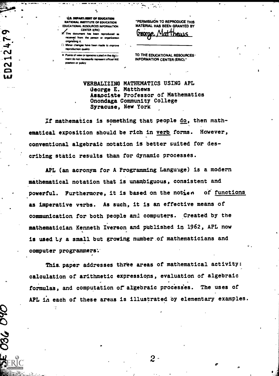U.S. DEPARTMENT OF EDUCATION NATIONAL INSTITUTE OF EDUCATION EDUCATIONAL RESOURCES INFORMATION

EXTRE CENTER IERICI (ERICI AU VIERICI AU VIERICI AU VIERICI AU VIERICI AU VIERICI AU VIERICI AU VIERICI AU VIER<br>CENTER IERICI AU VIERICI AU VIERICI AU VIERICI AU VIERICI AU VIERICI AU VIERICI AU VIERICI AU VIERICI AU VIER received from the person or organization ortabng n.

0 Minor changes have boon mode to snprove reproduction quality

. Points of view or opinions saited in this document do not necessarily represent official NIE position or policy

"PERMISSION TO REPRODUCE THIS MATERIAL HAS BEEN GRANTED BY

 $\leftarrow$  . Where

MatThews

TO THE EDUCATIONAL RESOURCES' INFORMATION CENTER (ERIC)."

VERBALIZING MATHEMATICS USING APL George E. Matthews Associate Professor of Mathematics Onondaga Community College Syracuse, New York

If mathematics is something that people do, then mathematical exposition should be rich in verb forms. However, conventional algebraid notation is better suited for describing static results than for dynamic processes.

APL (an acronym for A Programming Languige) is a modern mathematical notation that is unambiguous, consistent and powerful. Furthermore, it is based on the notion of functions as imperative verbs. As such, it is an effective means of communication, for both people and computers. Created by the mathematician Kenneth Iverson and published in 1962, APL now is used ty a small but growing number of mathematicians and computer programmers:

This. paper addresses three areas of mathematical activity: calculation of arithmetic expressions, evaluation of algebraic formulas, and computation of algebraic processes. The uses of APL in each of these areas is illustrated by elementary examples.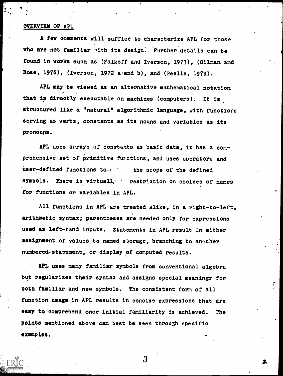## OVERVIEW OF APL

A few comments will suffice to characterize APL for those who are not familiar with its design. Further details can be found in works such as (Falkoff and Iverson, 1973), (Gilman and Rose, 1976), (Iverson, 1972 a'and b), and (Peelle, 1979);

APL may be viewed as an alternative mathematical notation that is directly executable on machines (computers). It is structured like a "natural" algorithmic language, with functions serving as verbs, constants as its nouns and variables as its pronouns.

APL uses arrays of constants as basic data, it has a comprehensive set of primitive functions, and uses operators and user-defined functions to  $f$  the scope of the defined symbols. There is virtuall, restriction on choices of names for functions or variables in APL.

All functions in APL are treated alike, in a right-to-left, arithmetic syntax; parentheses are needed only for expressions used as left-hand inputs. Statements in APL result in either assignment of values to named storage, branching to another numbered-statement, or display of computed results.

APL uses many familiar symbols from conventional algebra but regularizes their syntax and assigns special meanings for both familiar and new symbols. The consistent form of all function usage in APL results in concise expressions that are easy to comprehend once initial familiarity is achieved. The points mentioned above can best be seen through specific examples.

3

٢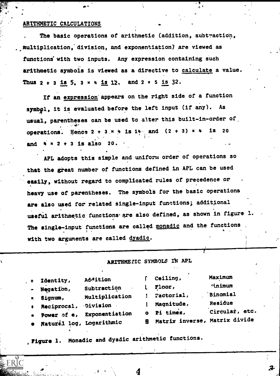### ARITHMETIC CALCULATIONS

 $\mathbf{t} = \mathbf{t}$ 

The basic operations of arithmetic (addition, subtraction, Multiplication,"division, and exponentiation) are viewed as functions with two inputs. Any expression containing such arithmetic symbols is viewed as a directive to calculate a value. Thus  $2 + 3$  is 5,  $3 \times 4$  is 12, and  $2 \times 5$  is 32.

t.

If an expression' appears on the right side of a function symbol, it is evaluated before the left input (if any). As usual, parentheses can be used to alter this built-in-order of operations. Hence  $2 + 3 \times 4$  is  $14$  and  $(2 + 3) \times 4$  is 20 and  $4 \times 2 + 3$  is also 20.

APL adopts this simple and uniform order of operations so that the great number of functions defined in APL can be used easily, without regard to complicated rules of precedence or heavy use of parentheses. The symbols for the basic operations are also used for related single-input functions; additional useful arithmetic functions are also defined, as shown in figure 1. The single-input functions are called monadic and the functions with two arguments are called dyadic.

ARITHME. IC SYMBOLS IN APL

| + Identity,<br>- Negation,<br>Signum,<br>+ Reciprocal, Division | Addition<br>Subtraction<br>Multiplication | Ceiling,<br>Floor,<br>Factorial,<br>Magnitude,        | Maximum<br>inimum<br><b>Binomial</b><br>Residue |
|-----------------------------------------------------------------|-------------------------------------------|-------------------------------------------------------|-------------------------------------------------|
| · Natural log, Logarithmic                                      | Power of e, Exponentiation                | o Pi times,<br><b>8 Matrix inverse, Matrix divide</b> | Circular, etc.                                  |

Figure 1. Monadic and dyadic arithmetic functions.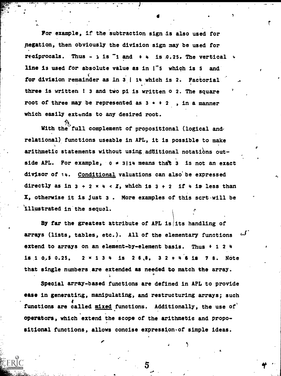For example, if the subtraction sign is also used for negation, then obviously the division sign may be used for reciprocals. Thus -  $\frac{1}{2}$  is  $\frac{1}{1}$  and  $\frac{1}{2}$  is 0.25. The vertical  $\frac{1}{2}$ line is used for absolute value as in | 5 which is 5 and for division remainder as in 3 | 14 which is 2. Factorial three is written ! 3 and two pi is written 0 2. The square root of three may be represented as  $3 + 2$ , in a manner which easily extends to any desired root.

7

a

A.

With the full complement of propositional (logical andrelational) functions useable in APL, it is possible to make arithmetic statements without using additional notations outside APL. For example,  $0 = 3114$  means that 3 is not an exact divisor of 14. Conditional valuations can also'be expressed directly as in  $3 + 2 \times 4 \times I$ , which is  $3 + 2$  if 4 is less than X, otherwise it is just 3 . More examples of this scrt-will be illustrated in'the sequel.

By far the greatest attribute of APL is its handling of arrays (lists, tables, etc.). All of the elementary functions  $\omega^f$ extend to arrays on an element-by-element basis. Thus + 1 2 4 is 1 0.5 0.25,  $2 \times 1$  3 4 is 2 6,8, 3 2 + 4 6 is 7 8. Note that single numbers are extended as needed to match the array.

O

Special array-based functions are defined in APL to provide ease in generating, manipulating, and restructuring arrays; such functions are called mixed functions. Additionally, the use of operators, which extend the scope of the arithmetic and propositional functions, allows concise expression of simple ideas.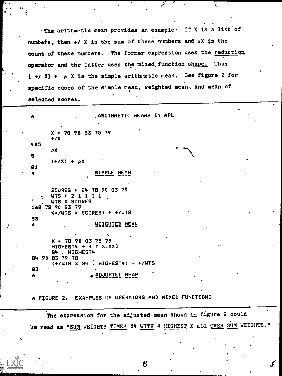. The arithmetic mean provides ar example: If X is a list of numbers, then +/ X is the sum of these numbers and pX is the count of these numbers. The former expression uses the reduction operator and the latter uses the mixed function shape. Thus  $(\rightarrow)$  X) +  $\rho$  X is the simple arithmetic mean. See figure 2 for specific cases of the simple mean, weighted mean, and mean of selected scores.

ંજ

ARITHMETIC MEANS IN APL  $X$  + 78 90 83 75 79  $+/X$ 405 ρX 5  $(+/X) + \rho X$ 81 SIMPLE MEAN SCURES + 84 78 90 83 79  $WTS + 21111$ WTS x SCORES 168 78 90 83 79 *KA/WTS X SCORES) ÷ +/WTS* 83 WEIGHTED MEAN  $\bullet$  $X$  + 78 90 83 75 79 HIGHEST4 + 4 + XEQXJ 84, HIGHEST4 84 90 83 79 78  $(+/WTS \times 84, HIGHEST4) \div +/WTS$ 83 <u>ADJUSTED MEAN</u>

A FIGURE 2. EXAMPLES OF OPERATORS AND MIXED FUNCTIONS

The expression for the adjusted mean shown in figure 2 could be read as "SUM WEIGHTS TIMES 84 WITH 4 HIGHEST X all OVER SUM WEIGHTS."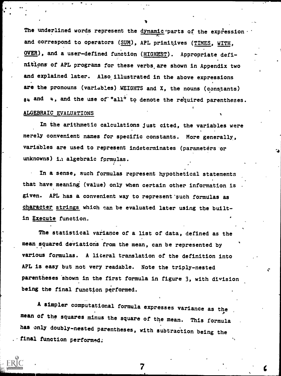The underlined words represent the dynamic parts of the expression and correspond to operators (SUM), APL primitives (TIMES, WITH, OVER), and a user-defined function (HIGHEST). Appropriate definitlans of APL programs for these verbs, are shown in Appendix two and explained later. Also, illustrated in the above expressions are the pronouns (variables) WEIGHTS and X, the nouns (constants)  $84$  and  $4$ , and the use of "all" to denote the required parentheses.

### ALGEBRAIC EVALUATIONS

In the arithmetic calculations just cited, the variables were merely convenient names for specific constants. More generally, variables are used to represent indeterminates (parameters or unknowns) in algebraic formulas.

In a sense, such formulas represent hypothetical statements that have meaning (value) only when certain other information is given. APL has a convenient way to represent such formulas as character strings which can be evaluated later using the builtin Execute function.

The statistical variance of a list of data, defined as the mean squared deviations from the mean, can be represented by various formulas. A literal translation of the definition into APL is easy but not very readable. Note the triply-nested parentheses shown in the first formula in figure 3, with division being the final function performed.

A simpler computational formula expresses variance as the , mean of the squares minus the square of the mean. This formula has only doubly-nested parentheses, with subtraction being the final function performed: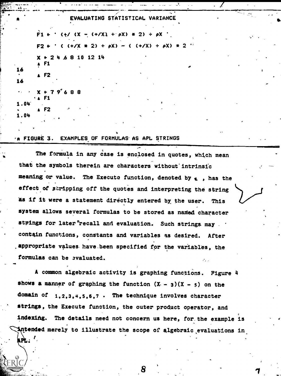|                         | EVALUATING STATISTICAL VARIANCE                                       |
|-------------------------|-----------------------------------------------------------------------|
|                         | $F1 + '$ (+/ (X - (+/X) + $\rho$ X) + 2) + $\rho$ X '                 |
|                         | $F2 \leftarrow$ ' ( $(+/X + 2) + \rho X$ ) - ( $(+/X) + \rho X$ ) * 2 |
| 16<br>16                | $X + 24 68 10 12 14$<br>$\sqrt{1}$                                    |
|                         | $\sqrt{2}$                                                            |
| $\overline{\mathbf{g}}$ | $X + 79'688$<br>* A. F1                                               |
| 1.04<br>1.04            | $\blacktriangle$ F2<br>$-1$<br>$\mathbf{f}$                           |

#### **A FIGURE 3.** EXAMPLES OF FORMULAS AS APL STRINGS

The formula in any case is enclosed in quotes, which mean that the symbols therein are characters without intrinsic meaning or value. The Execute function, denoted by a, has the effect of stripping off the quotes and interpreting the string as if it were a statement directly entered by the user. **This** system allows several formulas to be stored as named character strings for later recall and evaluation. Such strings may contain functions, constants and variables as desired. After appropriate values have been specified for the variables, the formulas can be evaluated.

A common algebraic activity is graphing functions. Figure 4 shows a manner of graphing the function  $(X - 3)(X - 5)$  on the domain of 1.2.3.4.5.6.7 . The technique involves character strings, the Execute function, the outer product operator, and indexing. The details need not concern us here, for the example is Antended merely to illustrate the scope of algebraic evaluations in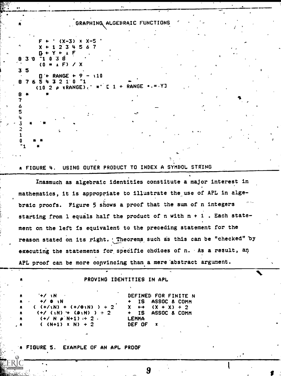## GRAPHING ALGEBRAIC FUNCTIONS

 $(X-3)$  x  $X-5$  $X + 1234567$  $B + Y +$ ີ1 0 3 8 830  $(0 = 1 F) / X$  $3<sub>5</sub>$  $\Box$  + RANGE + 9 - 110 876543210-1  $1 +$  RANGE  $\bullet$ . =  $\cdot$  Y]  $(10 2 p \times RANGE)$ 8 7 6 5 4

3 2  $\mathbf{1}$ 0 -1

#### USING OUTER PRODUCT TO INDEX A SYMBOL STRING A FIGURE 4.

Inasmuch as algebraic identities constitute a major interest in mathematics, it is appropriate to illustrate the use of APL in algebraic proofs. Figure 5 shows a proof that the sum of n integers starting from 1 equals half the product of n with  $n + 1$ . Each statement on the left is equivalent to the preceding statement for the reason stated on its right. ' Theorems such as this can be "checked" by executing the statements for specific choices of n. As a result, an APL proof can be more convincing than a mere abstract argument.

### PROVING IDENTITIES IN APL

DEFINED FOR FINITE N **IS** ASSOC & COMM  $(X + X) + 2$ x  $\leftrightarrow$ IS<sub></sub> ASSOC & COMM **LEMMA** DEF OF

**FIGURE 5.** EXAMPLE OF AN APL PROOF

 $($   $(+/1)$  +  $(+/0)$ )  $)$  + 2

 $(+/$  (iN) + ( $\Phi$ iN) ) ÷ 2

 $(+/ N \rho N+1) = 2$ .

 $(N+1)$  x N) + 2

 $4/10$ 

**+/ 0 \N**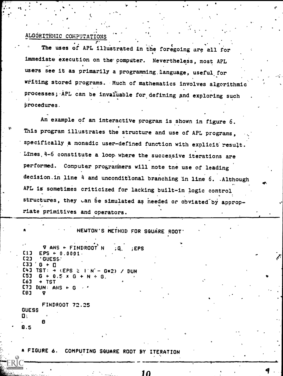## ALGORITHMIC COMPUTATIONS

The uses of APL illustrated in the foregoing are all for immediate execution on the computer. Nevertheless, most APL users see it as primarily a programming language, useful for writing stored programs. Much of mathematics involves algorithmi processes; APL can be invaluable for defining and exploring such procedures.

An example of an interactive program is shown in figure 6. This program illustrates the structure and use of APL programs, specifically a monadic user-defined function with explicit result. Lines, 4-6 constitute a loop where the successive iterations are performed. Computer programmers will note the use of leading decision in line 4 and unconditional branching in line 6. Although APL is sometimes criticized for lacking built-in logic control structures, they can be simulated as needed or obviated by appropriate primitives and operators.

NEWTON'S METHOD FOR SQUARE ROOT

V ANS + FINDROOT N  $EPS$ C1 J  $EPS + 0.0001$ ר2ל **.GUESS. E31** G. е п TST:  $\rightarrow$  (EPS 2 1 N - G\*2) / **DUN** G. ← በ.5 አ G l [6] + TST  $C73$  DUN: ANS  $\leftarrow$ [B]

**FINDROOT 72.25 GUESS** 0:  $8.5$ 

A FIGURE 6. COMPUTING SQUARE ROOT BY ITERATION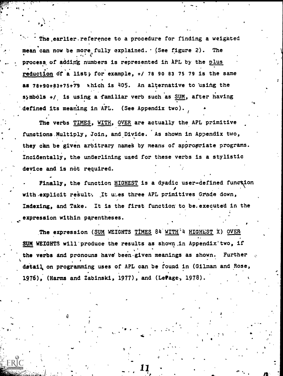The earlier. reference to a procedure for finding a weighted mean can now be more fully explained. (See figure 2). The  $\mathbf{S}$  and  $\mathbf{S}$  and  $\mathbf{S}$ process of adding numbers is represented in APL by the plus reduction of a list; for example,  $+/$  78 90 83 75 79 is the same as  $78+90+83+75+79$  which is  $405$ . An alternative to using the symbols  $+1$  is using a familiar verb such as SUM, after having defined its meaning in APL. (See Appendix two).

V

40 °

es and a series of the series of the series of the series of the series of the series of the series of the series of the series of the series of the series of the series of the series of the series of the series of the ser o.

The verbs TIMES, WITH, OVER are actually the APL primitive functions Multiply, Join, and Divide. As shown in Appendix two, they can be given arbitrary names by means of appropriate programs. Incidentally, the underlining used for these verbs is a stylistic device and is not required.

Finally, the function HIGHEST is a dyadic user-defined function with explicit result: It uses three APL primitives Grade down, Indexing, and Take. It is the first function to be. executed in the expression within parentheses.

The expression (SUM WEIGHTS TIMES 84 WITH 4 HIGHEST X) OVER SUM WEIGHTS will produce the results as shown in Appendix two, if the verbs and pronouns have been-given meanings as shown. Further detail on programming uses of APL can be found in (Gilman and Rose, 1976), (Harms and Zabinski, 197T), and (Letage, 1978).

 $\mathfrak o$  and  $\mathfrak o$ 

..

40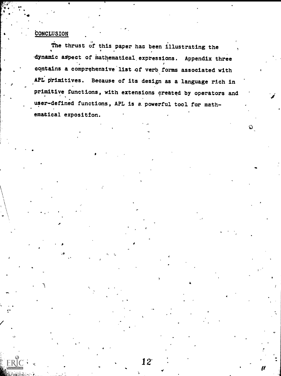## CONCLUSION

. ..4

The thrust of this paper has been illustrating the dynamic aspect of mathematical expressions. Appendix three contains a comprehensive list of verb forms associated with APL primitives. Because of its design as a language rich in primitive functions, with extensions created by operators and user-defined functions, APL is a powerful tool for mathematical exposition.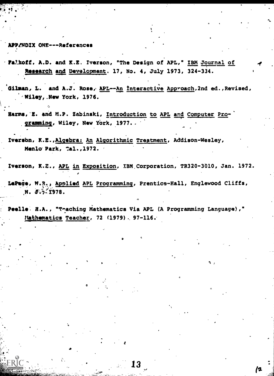### APPENDIX ONE---References

- -Fa/koff, A.D. and K.E. Iverson, "The Design of APL," IBM Journal of Research and Development. 17, No. 4, July 1973, 324-334.
- Gilman, L. and A.J. Rose, APL--An Interactive Approach, 2nd ed., Revised, 'Wlloyf.New York, 1976.
- Harms, E. and M.P. Zabinski, Introduction to APL and Computer Programming, Wiley, New York, 1977. .
- Iversbn, K.E.,Algebra: An Algorithmic Treatment, Addison-Wesley, Menlo Park, Cal., 1972.

Iverson, K.E., APL in Exposition, IBM Corporation, TR320-3010, Jan. 1972.

LePage, M.R., Applied APL Programming, Prentice-Hall, Englewood Cliffs, N. J. 1978.

Peelle: H.A., "Thaching Mathematics Via APL (A Programming Language)," Mathematics Teacher, 72 (1979). 97-116.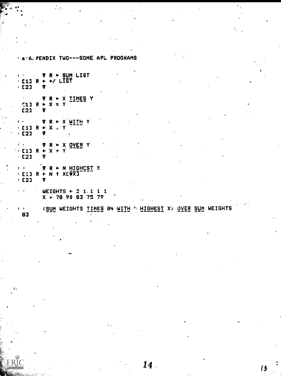' A .A. PENDIX TWO---SOME APL PROGRAMS V R + SUM LIST  $\mathbf{r} \in \mathbb{R}^n$  $\sim 10^{11}$  km s  $^{-1}$  $\cdot$  [1] R + +/ LIST  $·$  [2] Y V R + X TIMES Y  $511 R + X X Y$  $C21$ Y  $R + X$  with  $Y$ V.  $E11 R + X$ ,  $Y$  $\cdot$  C2] Y  $\begin{array}{ccccc} \cdot & & & \mathbf{v} & \mathbf{R} + \mathbf{X} & \mathbf{QVER} & \mathbf{Y} \\ \cdot & & & & \mathbf{R} + \mathbf{X} + \mathbf{Y} \end{array}$  $·$  C2] 7 V R + N HIGHEST X  $\mathbf{I}$ **' C11 R + N 1 XE PX1**  $\cdot$  C21  $\overline{\mathbf{v}}$ WEIGHTS  $\div$  2 1.1 1 1  $X - 78$  90 83 75 79 **(SUM WEIGHTS IIMES 84 WITH " HIGHEST X) OVER SUM WEIGHTS**  $\mathbf{F}$ 83

 $\mathcal{O}_{\mathcal{A}}$ 

 $\mathcal{L}_{\mathcal{A}}$ 

 $14.$ 

(3